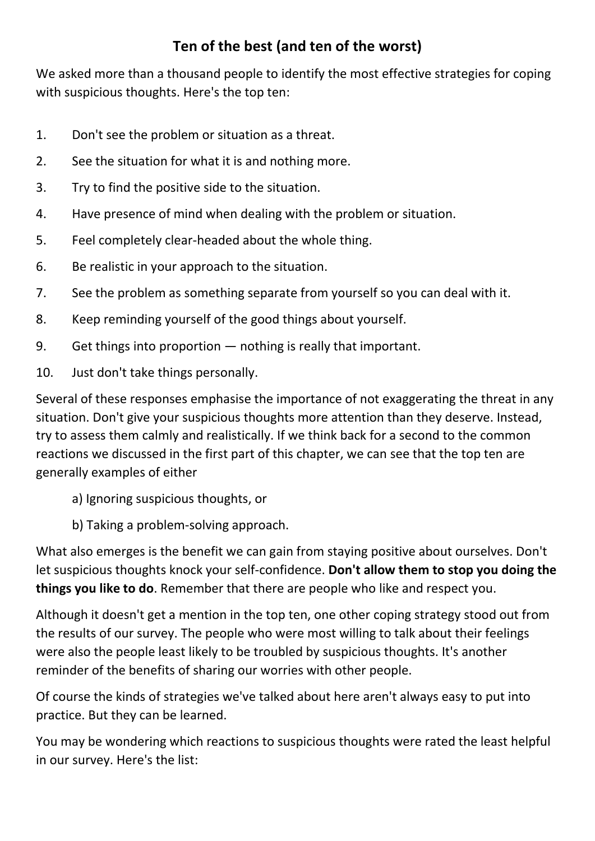## **Ten of the best (and ten of the worst)**

We asked more than a thousand people to identify the most effective strategies for coping with suspicious thoughts. Here's the top ten:

- 1. Don't see the problem or situation as a threat.
- 2. See the situation for what it is and nothing more.
- 3. Try to find the positive side to the situation.
- 4. Have presence of mind when dealing with the problem or situation.
- 5. Feel completely clear-headed about the whole thing.
- 6. Be realistic in your approach to the situation.
- 7. See the problem as something separate from yourself so you can deal with it.
- 8. Keep reminding yourself of the good things about yourself.
- 9. Get things into proportion nothing is really that important.
- 10. Just don't take things personally.

Several of these responses emphasise the importance of not exaggerating the threat in any situation. Don't give your suspicious thoughts more attention than they deserve. Instead, try to assess them calmly and realistically. If we think back for a second to the common reactions we discussed in the first part of this chapter, we can see that the top ten are generally examples of either

- a) Ignoring suspicious thoughts, or
- b) Taking a problem-solving approach.

What also emerges is the benefit we can gain from staying positive about ourselves. Don't let suspicious thoughts knock your self-confidence. **Don't allow them to stop you doing the things you like to do**. Remember that there are people who like and respect you.

Although it doesn't get a mention in the top ten, one other coping strategy stood out from the results of our survey. The people who were most willing to talk about their feelings were also the people least likely to be troubled by suspicious thoughts. It's another reminder of the benefits of sharing our worries with other people.

Of course the kinds of strategies we've talked about here aren't always easy to put into practice. But they can be learned.

You may be wondering which reactions to suspicious thoughts were rated the least helpful in our survey. Here's the list: